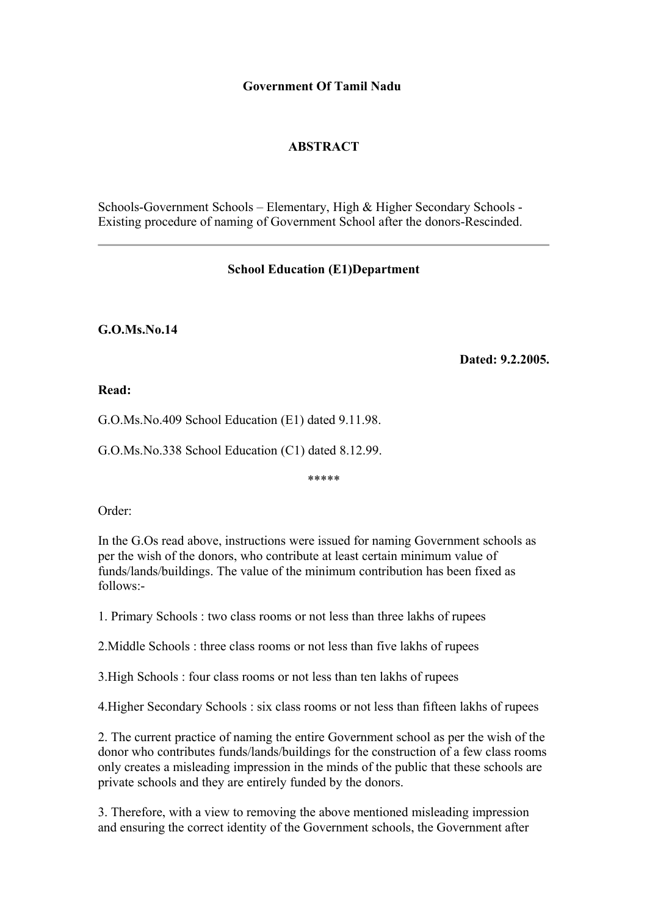## **Government Of Tamil Nadu**

## **ABSTRACT**

Schools-Government Schools – Elementary, High & Higher Secondary Schools - Existing procedure of naming of Government School after the donors-Rescinded.

## **School Education (E1)Department**

## **G.O.Ms.No.14**

 **Dated: 9.2.2005.**

**Read:**

G.O.Ms.No.409 School Education (E1) dated 9.11.98.

G.O.Ms.No.338 School Education (C1) dated 8.12.99.

\*\*\*\*\*

Order:

In the G.Os read above, instructions were issued for naming Government schools as per the wish of the donors, who contribute at least certain minimum value of funds/lands/buildings. The value of the minimum contribution has been fixed as follows:-

1. Primary Schools : two class rooms or not less than three lakhs of rupees

2.Middle Schools : three class rooms or not less than five lakhs of rupees

3.High Schools : four class rooms or not less than ten lakhs of rupees

4.Higher Secondary Schools : six class rooms or not less than fifteen lakhs of rupees

2. The current practice of naming the entire Government school as per the wish of the donor who contributes funds/lands/buildings for the construction of a few class rooms only creates a misleading impression in the minds of the public that these schools are private schools and they are entirely funded by the donors.

3. Therefore, with a view to removing the above mentioned misleading impression and ensuring the correct identity of the Government schools, the Government after